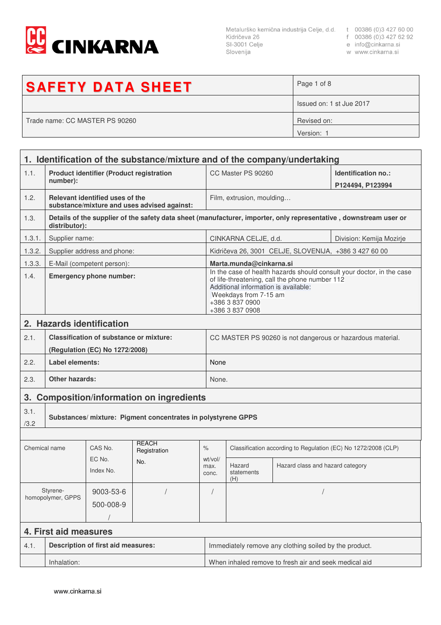

Metalurško kemična industrija Celje, d.d. t 00386 (0)3 427 60 00<br>Kidričeva 26 f 00386 (0)3 427 62 92<br>SI-3001 Celje e info@cinkarna.si Slovenija

- 
- 
- w www.cinkarna.si

| <b>SAFETY DATA SHEET</b>       | Page 1 of 8              |
|--------------------------------|--------------------------|
|                                | Issued on: 1 st Jue 2017 |
| Trade name: CC MASTER PS 90260 | Revised on:              |
|                                | Version: 1               |

|                                                                               | 1. Identification of the substance/mixture and of the company/undertaking        |                                           |                                             |                             |                                                                                                                                                                                                                                |                                                       |                                                                                                                   |  |  |
|-------------------------------------------------------------------------------|----------------------------------------------------------------------------------|-------------------------------------------|---------------------------------------------|-----------------------------|--------------------------------------------------------------------------------------------------------------------------------------------------------------------------------------------------------------------------------|-------------------------------------------------------|-------------------------------------------------------------------------------------------------------------------|--|--|
| 1.1.                                                                          | <b>Product identifier (Product registration</b>                                  |                                           |                                             |                             | CC Master PS 90260                                                                                                                                                                                                             |                                                       | Identification no.:                                                                                               |  |  |
|                                                                               | number):                                                                         |                                           |                                             |                             | P124494, P123994                                                                                                                                                                                                               |                                                       |                                                                                                                   |  |  |
| 1.2.                                                                          |                                                                                  | Relevant identified uses of the           | substance/mixture and uses advised against: |                             | Film, extrusion, moulding                                                                                                                                                                                                      |                                                       |                                                                                                                   |  |  |
| 1.3.                                                                          | distributor):                                                                    |                                           |                                             |                             |                                                                                                                                                                                                                                |                                                       | Details of the supplier of the safety data sheet (manufacturer, importer, only representative, downstream user or |  |  |
| 1.3.1.                                                                        | Supplier name:                                                                   |                                           |                                             |                             | CINKARNA CELJE, d.d.<br>Division: Kemija Mozirje                                                                                                                                                                               |                                                       |                                                                                                                   |  |  |
| 1.3.2.                                                                        |                                                                                  | Supplier address and phone:               |                                             |                             |                                                                                                                                                                                                                                | Kidričeva 26, 3001 CELJE, SLOVENIJA, +386 3 427 60 00 |                                                                                                                   |  |  |
| 1.3.3.                                                                        |                                                                                  | E-Mail (competent person):                |                                             |                             | Marta.munda@cinkarna.si                                                                                                                                                                                                        |                                                       |                                                                                                                   |  |  |
| 1.4.                                                                          | <b>Emergency phone number:</b>                                                   |                                           |                                             |                             | In the case of health hazards should consult your doctor, in the case<br>of life-threatening, call the phone number 112<br>Additional information is available:<br>Weekdays from 7-15 am<br>+386 3 837 0900<br>+386 3 837 0908 |                                                       |                                                                                                                   |  |  |
|                                                                               |                                                                                  | 2. Hazards identification                 |                                             |                             |                                                                                                                                                                                                                                |                                                       |                                                                                                                   |  |  |
| 2.1.                                                                          | <b>Classification of substance or mixture:</b><br>(Regulation (EC) No 1272/2008) |                                           |                                             |                             | CC MASTER PS 90260 is not dangerous or hazardous material.                                                                                                                                                                     |                                                       |                                                                                                                   |  |  |
| 2.2.                                                                          | <b>Label elements:</b>                                                           |                                           |                                             |                             | None                                                                                                                                                                                                                           |                                                       |                                                                                                                   |  |  |
| 2.3.                                                                          | <b>Other hazards:</b>                                                            |                                           |                                             | None.                       |                                                                                                                                                                                                                                |                                                       |                                                                                                                   |  |  |
|                                                                               | 3. Composition/information on ingredients                                        |                                           |                                             |                             |                                                                                                                                                                                                                                |                                                       |                                                                                                                   |  |  |
| 3.1.<br>Substances/ mixture: Pigment concentrates in polystyrene GPPS<br>/3.2 |                                                                                  |                                           |                                             |                             |                                                                                                                                                                                                                                |                                                       |                                                                                                                   |  |  |
|                                                                               |                                                                                  |                                           |                                             |                             |                                                                                                                                                                                                                                |                                                       |                                                                                                                   |  |  |
| Chemical name                                                                 |                                                                                  | CAS No.                                   | <b>RFACH</b><br>Registration                | $\%$                        | Classification according to Regulation (EC) No 1272/2008 (CLP)                                                                                                                                                                 |                                                       |                                                                                                                   |  |  |
| EC No.<br>No.<br>Index No.                                                    |                                                                                  |                                           | wt/vol/<br>max.<br>conc.                    | Hazard<br>statements<br>(H) | Hazard class and hazard category                                                                                                                                                                                               |                                                       |                                                                                                                   |  |  |
|                                                                               | Styrene-<br>homopolymer, GPPS                                                    | 9003-53-6                                 |                                             |                             |                                                                                                                                                                                                                                |                                                       |                                                                                                                   |  |  |
|                                                                               |                                                                                  | 500-008-9                                 |                                             |                             |                                                                                                                                                                                                                                |                                                       |                                                                                                                   |  |  |
|                                                                               | 4. First aid measures                                                            |                                           |                                             |                             |                                                                                                                                                                                                                                |                                                       |                                                                                                                   |  |  |
| 4.1.                                                                          |                                                                                  | <b>Description of first aid measures:</b> |                                             |                             | Immediately remove any clothing soiled by the product.                                                                                                                                                                         |                                                       |                                                                                                                   |  |  |
|                                                                               | Inhalation:                                                                      |                                           |                                             |                             | When inhaled remove to fresh air and seek medical aid                                                                                                                                                                          |                                                       |                                                                                                                   |  |  |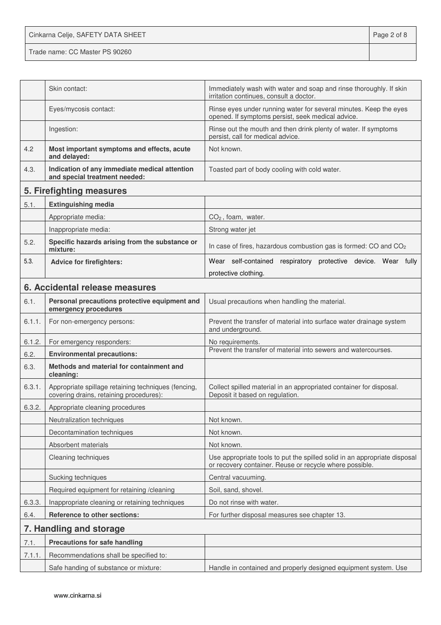Cinkarna Celje, SAFETY DATA SHEET **Page 2 of 8** 

| irritation continues, consult a doctor.<br>Rinse eyes under running water for several minutes. Keep the eyes<br>Eyes/mycosis contact:<br>opened. If symptoms persist, seek medical advice.<br>Rinse out the mouth and then drink plenty of water. If symptoms<br>Ingestion:<br>persist, call for medical advice.<br>4.2<br>Most important symptoms and effects, acute<br>Not known.<br>and delayed:<br>4.3.<br>Indication of any immediate medical attention<br>Toasted part of body cooling with cold water.<br>and special treatment needed:<br>5. Firefighting measures<br>5.1.<br><b>Extinguishing media</b><br>Appropriate media:<br>$CO2$ , foam, water.<br>Inappropriate media:<br>Strong water jet<br>Specific hazards arising from the substance or<br>5.2.<br>In case of fires, hazardous combustion gas is formed: CO and CO <sub>2</sub><br>mixture:<br>5.3.<br><b>Advice for firefighters:</b><br>protective clothing. | Skin contact: | Immediately wash with water and soap and rinse thoroughly. If skin        |
|-------------------------------------------------------------------------------------------------------------------------------------------------------------------------------------------------------------------------------------------------------------------------------------------------------------------------------------------------------------------------------------------------------------------------------------------------------------------------------------------------------------------------------------------------------------------------------------------------------------------------------------------------------------------------------------------------------------------------------------------------------------------------------------------------------------------------------------------------------------------------------------------------------------------------------------|---------------|---------------------------------------------------------------------------|
|                                                                                                                                                                                                                                                                                                                                                                                                                                                                                                                                                                                                                                                                                                                                                                                                                                                                                                                                     |               |                                                                           |
|                                                                                                                                                                                                                                                                                                                                                                                                                                                                                                                                                                                                                                                                                                                                                                                                                                                                                                                                     |               |                                                                           |
|                                                                                                                                                                                                                                                                                                                                                                                                                                                                                                                                                                                                                                                                                                                                                                                                                                                                                                                                     |               |                                                                           |
|                                                                                                                                                                                                                                                                                                                                                                                                                                                                                                                                                                                                                                                                                                                                                                                                                                                                                                                                     |               |                                                                           |
|                                                                                                                                                                                                                                                                                                                                                                                                                                                                                                                                                                                                                                                                                                                                                                                                                                                                                                                                     |               |                                                                           |
|                                                                                                                                                                                                                                                                                                                                                                                                                                                                                                                                                                                                                                                                                                                                                                                                                                                                                                                                     |               |                                                                           |
|                                                                                                                                                                                                                                                                                                                                                                                                                                                                                                                                                                                                                                                                                                                                                                                                                                                                                                                                     |               |                                                                           |
|                                                                                                                                                                                                                                                                                                                                                                                                                                                                                                                                                                                                                                                                                                                                                                                                                                                                                                                                     |               |                                                                           |
|                                                                                                                                                                                                                                                                                                                                                                                                                                                                                                                                                                                                                                                                                                                                                                                                                                                                                                                                     |               |                                                                           |
|                                                                                                                                                                                                                                                                                                                                                                                                                                                                                                                                                                                                                                                                                                                                                                                                                                                                                                                                     |               |                                                                           |
|                                                                                                                                                                                                                                                                                                                                                                                                                                                                                                                                                                                                                                                                                                                                                                                                                                                                                                                                     |               | Wear self-contained respiratory protective device. Wear fully             |
|                                                                                                                                                                                                                                                                                                                                                                                                                                                                                                                                                                                                                                                                                                                                                                                                                                                                                                                                     |               |                                                                           |
| 6. Accidental release measures                                                                                                                                                                                                                                                                                                                                                                                                                                                                                                                                                                                                                                                                                                                                                                                                                                                                                                      |               |                                                                           |
| 6.1.<br>Personal precautions protective equipment and<br>Usual precautions when handling the material.                                                                                                                                                                                                                                                                                                                                                                                                                                                                                                                                                                                                                                                                                                                                                                                                                              |               |                                                                           |
| emergency procedures                                                                                                                                                                                                                                                                                                                                                                                                                                                                                                                                                                                                                                                                                                                                                                                                                                                                                                                |               |                                                                           |
| 6.1.1.<br>For non-emergency persons:<br>Prevent the transfer of material into surface water drainage system<br>and underground.                                                                                                                                                                                                                                                                                                                                                                                                                                                                                                                                                                                                                                                                                                                                                                                                     |               |                                                                           |
| 6.1.2.<br>For emergency responders:<br>No requirements.                                                                                                                                                                                                                                                                                                                                                                                                                                                                                                                                                                                                                                                                                                                                                                                                                                                                             |               |                                                                           |
| Prevent the transfer of material into sewers and watercourses.<br>6.2.<br><b>Environmental precautions:</b>                                                                                                                                                                                                                                                                                                                                                                                                                                                                                                                                                                                                                                                                                                                                                                                                                         |               |                                                                           |
| Methods and material for containment and<br>6.3.<br>cleaning:                                                                                                                                                                                                                                                                                                                                                                                                                                                                                                                                                                                                                                                                                                                                                                                                                                                                       |               |                                                                           |
| 6.3.1.<br>Appropriate spillage retaining techniques (fencing,<br>Collect spilled material in an appropriated container for disposal.<br>covering drains, retaining procedures):<br>Deposit it based on regulation.                                                                                                                                                                                                                                                                                                                                                                                                                                                                                                                                                                                                                                                                                                                  |               |                                                                           |
| 6.3.2.<br>Appropriate cleaning procedures                                                                                                                                                                                                                                                                                                                                                                                                                                                                                                                                                                                                                                                                                                                                                                                                                                                                                           |               |                                                                           |
| Neutralization techniques<br>Not known.                                                                                                                                                                                                                                                                                                                                                                                                                                                                                                                                                                                                                                                                                                                                                                                                                                                                                             |               |                                                                           |
| Decontamination techniques<br>Not known.                                                                                                                                                                                                                                                                                                                                                                                                                                                                                                                                                                                                                                                                                                                                                                                                                                                                                            |               |                                                                           |
| Absorbent materials<br>Not known.                                                                                                                                                                                                                                                                                                                                                                                                                                                                                                                                                                                                                                                                                                                                                                                                                                                                                                   |               |                                                                           |
| Cleaning techniques<br>or recovery container. Reuse or recycle where possible.                                                                                                                                                                                                                                                                                                                                                                                                                                                                                                                                                                                                                                                                                                                                                                                                                                                      |               | Use appropriate tools to put the spilled solid in an appropriate disposal |
| Sucking techniques<br>Central vacuuming.                                                                                                                                                                                                                                                                                                                                                                                                                                                                                                                                                                                                                                                                                                                                                                                                                                                                                            |               |                                                                           |
| Soil, sand, shovel.<br>Required equipment for retaining /cleaning                                                                                                                                                                                                                                                                                                                                                                                                                                                                                                                                                                                                                                                                                                                                                                                                                                                                   |               |                                                                           |
| 6.3.3.<br>Inappropriate cleaning or retaining techniques<br>Do not rinse with water.                                                                                                                                                                                                                                                                                                                                                                                                                                                                                                                                                                                                                                                                                                                                                                                                                                                |               |                                                                           |
| Reference to other sections:<br>For further disposal measures see chapter 13.<br>6.4.                                                                                                                                                                                                                                                                                                                                                                                                                                                                                                                                                                                                                                                                                                                                                                                                                                               |               |                                                                           |
| 7. Handling and storage                                                                                                                                                                                                                                                                                                                                                                                                                                                                                                                                                                                                                                                                                                                                                                                                                                                                                                             |               |                                                                           |
| <b>Precautions for safe handling</b><br>7.1.                                                                                                                                                                                                                                                                                                                                                                                                                                                                                                                                                                                                                                                                                                                                                                                                                                                                                        |               |                                                                           |
| 7.1.1.<br>Recommendations shall be specified to:                                                                                                                                                                                                                                                                                                                                                                                                                                                                                                                                                                                                                                                                                                                                                                                                                                                                                    |               |                                                                           |
| Safe handing of substance or mixture:<br>Handle in contained and properly designed equipment system. Use                                                                                                                                                                                                                                                                                                                                                                                                                                                                                                                                                                                                                                                                                                                                                                                                                            |               |                                                                           |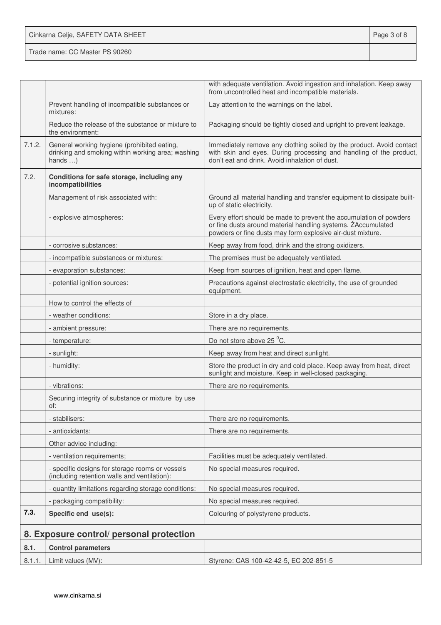Cinkarna Celje, SAFETY DATA SHEET **Page 3 of 8** 

|                               |                                                                                                                      | with adequate ventilation. Avoid ingestion and inhalation. Keep away<br>from uncontrolled heat and incompatible materials.                                                                       |
|-------------------------------|----------------------------------------------------------------------------------------------------------------------|--------------------------------------------------------------------------------------------------------------------------------------------------------------------------------------------------|
|                               | Prevent handling of incompatible substances or<br>mixtures:                                                          | Lay attention to the warnings on the label.                                                                                                                                                      |
|                               | Reduce the release of the substance or mixture to<br>the environment:                                                | Packaging should be tightly closed and upright to prevent leakage.                                                                                                                               |
| 7.1.2.                        | General working hygiene (prohibited eating,<br>drinking and smoking within working area; washing<br>hands $\ldots$ ) | Immediately remove any clothing soiled by the product. Avoid contact<br>with skin and eyes. During processing and handling of the product,<br>don't eat and drink. Avoid inhalation of dust.     |
| 7.2.                          | Conditions for safe storage, including any<br>incompatibilities                                                      |                                                                                                                                                                                                  |
|                               | Management of risk associated with:                                                                                  | Ground all material handling and transfer equipment to dissipate built-<br>up of static electricity.                                                                                             |
|                               | - explosive atmospheres:                                                                                             | Every effort should be made to prevent the accumulation of powders<br>or fine dusts around material handling systems. ZAccumulated<br>powders or fine dusts may form explosive air-dust mixture. |
|                               | - corrosive substances:                                                                                              | Keep away from food, drink and the strong oxidizers.                                                                                                                                             |
|                               | - incompatible substances or mixtures:                                                                               | The premises must be adequately ventilated.                                                                                                                                                      |
|                               | - evaporation substances:                                                                                            | Keep from sources of ignition, heat and open flame.                                                                                                                                              |
| - potential ignition sources: |                                                                                                                      | Precautions against electrostatic electricity, the use of grounded<br>equipment.                                                                                                                 |
|                               | How to control the effects of                                                                                        |                                                                                                                                                                                                  |
|                               | - weather conditions:                                                                                                | Store in a dry place.                                                                                                                                                                            |
|                               | - ambient pressure:                                                                                                  | There are no requirements.                                                                                                                                                                       |
|                               | - temperature:                                                                                                       | Do not store above 25 °C.                                                                                                                                                                        |
|                               | - sunlight:                                                                                                          | Keep away from heat and direct sunlight.                                                                                                                                                         |
|                               | - humidity:                                                                                                          | Store the product in dry and cold place. Keep away from heat, direct<br>sunlight and moisture. Keep in well-closed packaging.                                                                    |
|                               | - vibrations:                                                                                                        | There are no requirements.                                                                                                                                                                       |
|                               | Securing integrity of substance or mixture by use<br>of:                                                             |                                                                                                                                                                                                  |
|                               | - stabilisers:                                                                                                       | There are no requirements.                                                                                                                                                                       |
|                               | - antioxidants:                                                                                                      | There are no requirements.                                                                                                                                                                       |
|                               | Other advice including:                                                                                              |                                                                                                                                                                                                  |
|                               | - ventilation requirements;                                                                                          | Facilities must be adequately ventilated.                                                                                                                                                        |
|                               | - specific designs for storage rooms or vessels<br>(including retention walls and ventilation):                      | No special measures required.                                                                                                                                                                    |
|                               | - quantity limitations regarding storage conditions:                                                                 | No special measures required.                                                                                                                                                                    |
|                               | - packaging compatibility:                                                                                           | No special measures required.                                                                                                                                                                    |
| 7.3.                          | Specific end use(s):                                                                                                 | Colouring of polystyrene products.                                                                                                                                                               |
|                               | 8. Exposure control/ personal protection                                                                             |                                                                                                                                                                                                  |
| 8.1.                          | <b>Control parameters</b>                                                                                            |                                                                                                                                                                                                  |
| 8.1.1.                        | Limit values (MV):                                                                                                   | Styrene: CAS 100-42-42-5, EC 202-851-5                                                                                                                                                           |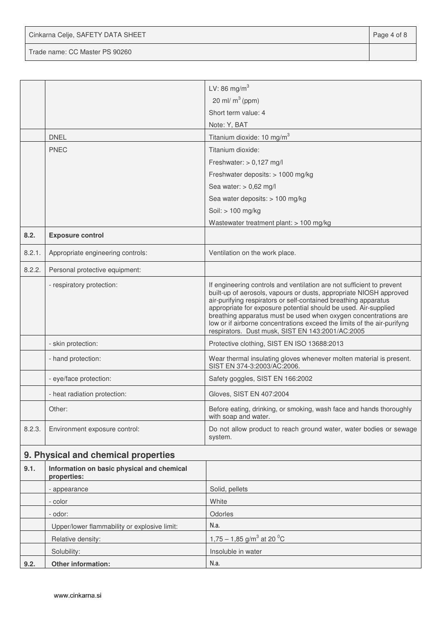Cinkarna Celje, SAFETY DATA SHEET **Page 4 of 8** 

|        |                                                           | LV: 86 mg/m <sup>3</sup>                                                                                                                                                                                                                                                                                                                                                                                                                                                            |
|--------|-----------------------------------------------------------|-------------------------------------------------------------------------------------------------------------------------------------------------------------------------------------------------------------------------------------------------------------------------------------------------------------------------------------------------------------------------------------------------------------------------------------------------------------------------------------|
|        |                                                           | 20 ml/ $m^3$ (ppm)                                                                                                                                                                                                                                                                                                                                                                                                                                                                  |
|        |                                                           | Short term value: 4                                                                                                                                                                                                                                                                                                                                                                                                                                                                 |
|        |                                                           | Note: Y, BAT                                                                                                                                                                                                                                                                                                                                                                                                                                                                        |
|        | <b>DNEL</b>                                               | Titanium dioxide: 10 mg/m <sup>3</sup>                                                                                                                                                                                                                                                                                                                                                                                                                                              |
|        | <b>PNEC</b>                                               | Titanium dioxide:                                                                                                                                                                                                                                                                                                                                                                                                                                                                   |
|        |                                                           | Freshwater: $> 0.127$ mg/l                                                                                                                                                                                                                                                                                                                                                                                                                                                          |
|        |                                                           | Freshwater deposits: > 1000 mg/kg                                                                                                                                                                                                                                                                                                                                                                                                                                                   |
|        |                                                           | Sea water: $> 0,62$ mg/l                                                                                                                                                                                                                                                                                                                                                                                                                                                            |
|        |                                                           | Sea water deposits: > 100 mg/kg                                                                                                                                                                                                                                                                                                                                                                                                                                                     |
|        |                                                           | Soil: > 100 mg/kg                                                                                                                                                                                                                                                                                                                                                                                                                                                                   |
|        |                                                           | Wastewater treatment plant: > 100 mg/kg                                                                                                                                                                                                                                                                                                                                                                                                                                             |
| 8.2.   | <b>Exposure control</b>                                   |                                                                                                                                                                                                                                                                                                                                                                                                                                                                                     |
| 8.2.1. | Appropriate engineering controls:                         | Ventilation on the work place.                                                                                                                                                                                                                                                                                                                                                                                                                                                      |
| 8.2.2. | Personal protective equipment:                            |                                                                                                                                                                                                                                                                                                                                                                                                                                                                                     |
|        | - respiratory protection:                                 | If engineering controls and ventilation are not sufficient to prevent<br>built-up of aerosols, vapours or dusts, appropriate NIOSH approved<br>air-purifying respirators or self-contained breathing apparatus<br>appropriate for exposure potential should be used. Air-supplied<br>breathing apparatus must be used when oxygen concentrations are<br>low or if airborne concentrations exceed the limits of the air-purifyng<br>respirators. Dust musk, SIST EN 143:2001/AC:2005 |
|        | - skin protection:                                        | Protective clothing, SIST EN ISO 13688:2013                                                                                                                                                                                                                                                                                                                                                                                                                                         |
|        | - hand protection:                                        | Wear thermal insulating gloves whenever molten material is present.<br>SIST EN 374-3:2003/AC:2006.                                                                                                                                                                                                                                                                                                                                                                                  |
|        | - eye/face protection:                                    | Safety goggles, SIST EN 166:2002                                                                                                                                                                                                                                                                                                                                                                                                                                                    |
|        | - heat radiation protection:                              | Gloves, SIST EN 407:2004                                                                                                                                                                                                                                                                                                                                                                                                                                                            |
|        | Other:                                                    | Before eating, drinking, or smoking, wash face and hands thoroughly<br>with soap and water.                                                                                                                                                                                                                                                                                                                                                                                         |
| 8.2.3. | Environment exposure control:                             | Do not allow product to reach ground water, water bodies or sewage<br>system.                                                                                                                                                                                                                                                                                                                                                                                                       |
|        | 9. Physical and chemical properties                       |                                                                                                                                                                                                                                                                                                                                                                                                                                                                                     |
| 9.1.   | Information on basic physical and chemical<br>properties: |                                                                                                                                                                                                                                                                                                                                                                                                                                                                                     |
|        | - appearance                                              | Solid, pellets                                                                                                                                                                                                                                                                                                                                                                                                                                                                      |
|        | - color                                                   | White                                                                                                                                                                                                                                                                                                                                                                                                                                                                               |
|        | - odor:                                                   | Odorles                                                                                                                                                                                                                                                                                                                                                                                                                                                                             |
|        | Upper/lower flammability or explosive limit:              | N.a.                                                                                                                                                                                                                                                                                                                                                                                                                                                                                |
|        | Relative density:                                         | 1,75 – 1,85 g/m <sup>3</sup> at 20 <sup>o</sup> C                                                                                                                                                                                                                                                                                                                                                                                                                                   |
|        | Solubility:                                               | Insoluble in water                                                                                                                                                                                                                                                                                                                                                                                                                                                                  |
| 9.2.   | Other information:                                        | N.a.                                                                                                                                                                                                                                                                                                                                                                                                                                                                                |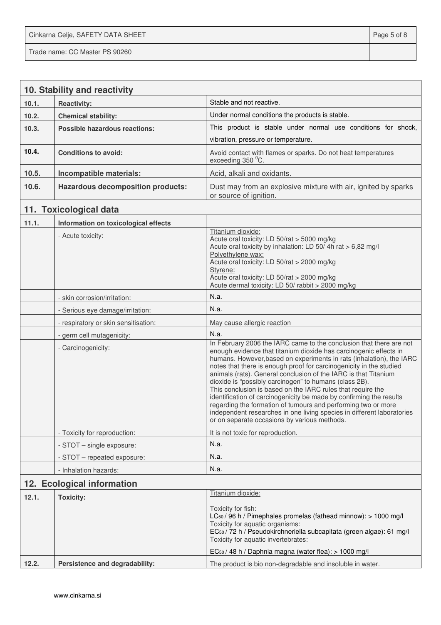Cinkarna Celje, SAFETY DATA SHEET **Page 5 of 8** 

|       | 10. Stability and reactivity             |                                                                                                                                                                                                                                                                                                                                                                                                                                                                                                                                                                                                                                                                                                                                                       |  |  |  |
|-------|------------------------------------------|-------------------------------------------------------------------------------------------------------------------------------------------------------------------------------------------------------------------------------------------------------------------------------------------------------------------------------------------------------------------------------------------------------------------------------------------------------------------------------------------------------------------------------------------------------------------------------------------------------------------------------------------------------------------------------------------------------------------------------------------------------|--|--|--|
| 10.1. | <b>Reactivity:</b>                       | Stable and not reactive.                                                                                                                                                                                                                                                                                                                                                                                                                                                                                                                                                                                                                                                                                                                              |  |  |  |
| 10.2. | <b>Chemical stability:</b>               | Under normal conditions the products is stable.                                                                                                                                                                                                                                                                                                                                                                                                                                                                                                                                                                                                                                                                                                       |  |  |  |
| 10.3. | <b>Possible hazardous reactions:</b>     | This product is stable under normal use conditions for shock,                                                                                                                                                                                                                                                                                                                                                                                                                                                                                                                                                                                                                                                                                         |  |  |  |
|       |                                          | vibration, pressure or temperature.                                                                                                                                                                                                                                                                                                                                                                                                                                                                                                                                                                                                                                                                                                                   |  |  |  |
| 10.4. | <b>Conditions to avoid:</b>              | Avoid contact with flames or sparks. Do not heat temperatures<br>exceeding 350 °C.                                                                                                                                                                                                                                                                                                                                                                                                                                                                                                                                                                                                                                                                    |  |  |  |
| 10.5. | Incompatible materials:                  | Acid, alkali and oxidants.                                                                                                                                                                                                                                                                                                                                                                                                                                                                                                                                                                                                                                                                                                                            |  |  |  |
| 10.6. | <b>Hazardous decomposition products:</b> | Dust may from an explosive mixture with air, ignited by sparks<br>or source of ignition.                                                                                                                                                                                                                                                                                                                                                                                                                                                                                                                                                                                                                                                              |  |  |  |
|       | 11. Toxicological data                   |                                                                                                                                                                                                                                                                                                                                                                                                                                                                                                                                                                                                                                                                                                                                                       |  |  |  |
| 11.1. | Information on toxicological effects     |                                                                                                                                                                                                                                                                                                                                                                                                                                                                                                                                                                                                                                                                                                                                                       |  |  |  |
|       | - Acute toxicity:                        | Titanium dioxide:<br>Acute oral toxicity: LD 50/rat > 5000 mg/kg<br>Acute oral toxicity by inhalation: LD 50/4h rat > 6,82 mg/l<br>Polyethylene wax:<br>Acute oral toxicity: LD 50/rat > 2000 mg/kg<br>Styrene:<br>Acute oral toxicity: LD 50/rat > 2000 mg/kg<br>Acute dermal toxicity: LD 50/ rabbit > 2000 mg/kg                                                                                                                                                                                                                                                                                                                                                                                                                                   |  |  |  |
|       | - skin corrosion/irritation:             | N.a.                                                                                                                                                                                                                                                                                                                                                                                                                                                                                                                                                                                                                                                                                                                                                  |  |  |  |
|       | - Serious eye damage/irritation:         | N.a.                                                                                                                                                                                                                                                                                                                                                                                                                                                                                                                                                                                                                                                                                                                                                  |  |  |  |
|       | - respiratory or skin sensitisation:     | May cause allergic reaction                                                                                                                                                                                                                                                                                                                                                                                                                                                                                                                                                                                                                                                                                                                           |  |  |  |
|       | - germ cell mutagenicity:                | N.a.                                                                                                                                                                                                                                                                                                                                                                                                                                                                                                                                                                                                                                                                                                                                                  |  |  |  |
|       | - Carcinogenicity:                       | In February 2006 the IARC came to the conclusion that there are not<br>enough evidence that titanium dioxide has carcinogenic effects in<br>humans. However, based on experiments in rats (inhalation), the IARC<br>notes that there is enough proof for carcinogenicity in the studied<br>animals (rats). General conclusion of the IARC is that Titanium<br>dioxide is "possibly carcinogen" to humans (class 2B).<br>This conclusion is based on the IARC rules that require the<br>identification of carcinogenicity be made by confirming the results<br>regarding the formation of tumours and performing two or more<br>independent researches in one living species in different laboratories<br>or on separate occasions by various methods. |  |  |  |
|       | - Toxicity for reproduction:             | It is not toxic for reproduction.                                                                                                                                                                                                                                                                                                                                                                                                                                                                                                                                                                                                                                                                                                                     |  |  |  |
|       | - STOT - single exposure:                | N.a.                                                                                                                                                                                                                                                                                                                                                                                                                                                                                                                                                                                                                                                                                                                                                  |  |  |  |
|       | - STOT - repeated exposure:              | N.a.                                                                                                                                                                                                                                                                                                                                                                                                                                                                                                                                                                                                                                                                                                                                                  |  |  |  |
|       | - Inhalation hazards:                    | N.a.                                                                                                                                                                                                                                                                                                                                                                                                                                                                                                                                                                                                                                                                                                                                                  |  |  |  |
|       | 12. Ecological information               |                                                                                                                                                                                                                                                                                                                                                                                                                                                                                                                                                                                                                                                                                                                                                       |  |  |  |
| 12.1. | <b>Toxicity:</b>                         | Titanium dioxide:<br>Toxicity for fish:<br>LC <sub>50</sub> / 96 h / Pimephales promelas (fathead minnow): > 1000 mg/l<br>Toxicity for aquatic organisms:<br>EC <sub>50</sub> / 72 h / Pseudokirchneriella subcapitata (green algae): 61 mg/l<br>Toxicity for aquatic invertebrates:<br>EC <sub>50</sub> / 48 h / Daphnia magna (water flea): > 1000 mg/l                                                                                                                                                                                                                                                                                                                                                                                             |  |  |  |
| 12.2. | Persistence and degradability:           | The product is bio non-degradable and insoluble in water.                                                                                                                                                                                                                                                                                                                                                                                                                                                                                                                                                                                                                                                                                             |  |  |  |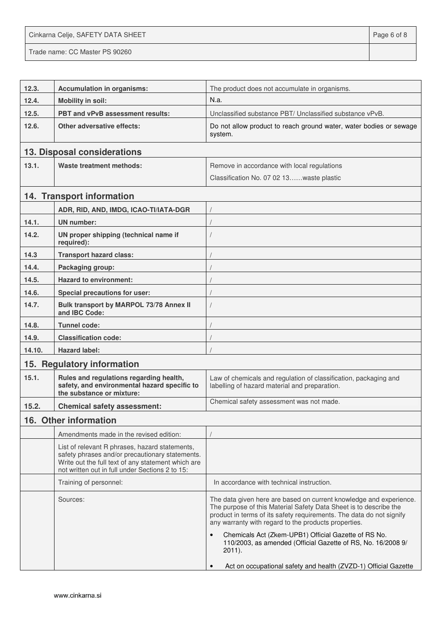Cinkarna Celje, SAFETY DATA SHEET **Page 6 of 8** and 2011 12 and 2012 12 and 2012 12 and 2012 12 and 2012 12 and 201 Trade name: CC Master PS 90260

| 12.3.  | <b>Accumulation in organisms:</b>                                                                                                                                                                          | The product does not accumulate in organisms.                                                                                                                                                                                                                           |
|--------|------------------------------------------------------------------------------------------------------------------------------------------------------------------------------------------------------------|-------------------------------------------------------------------------------------------------------------------------------------------------------------------------------------------------------------------------------------------------------------------------|
| 12.4.  | <b>Mobility in soil:</b>                                                                                                                                                                                   | N.a.                                                                                                                                                                                                                                                                    |
| 12.5.  | <b>PBT and vPvB assessment results:</b>                                                                                                                                                                    | Unclassified substance PBT/ Unclassified substance vPvB.                                                                                                                                                                                                                |
| 12.6.  | Other adversative effects:                                                                                                                                                                                 | Do not allow product to reach ground water, water bodies or sewage<br>system.                                                                                                                                                                                           |
|        | 13. Disposal considerations                                                                                                                                                                                |                                                                                                                                                                                                                                                                         |
| 13.1.  | <b>Waste treatment methods:</b>                                                                                                                                                                            | Remove in accordance with local regulations                                                                                                                                                                                                                             |
|        |                                                                                                                                                                                                            | Classification No. 07 02 13waste plastic                                                                                                                                                                                                                                |
|        | 14. Transport information                                                                                                                                                                                  |                                                                                                                                                                                                                                                                         |
|        | ADR, RID, AND, IMDG, ICAO-TI/IATA-DGR                                                                                                                                                                      |                                                                                                                                                                                                                                                                         |
| 14.1.  | <b>UN</b> number:                                                                                                                                                                                          |                                                                                                                                                                                                                                                                         |
| 14.2.  | UN proper shipping (technical name if<br>required):                                                                                                                                                        |                                                                                                                                                                                                                                                                         |
| 14.3   | <b>Transport hazard class:</b>                                                                                                                                                                             |                                                                                                                                                                                                                                                                         |
| 14.4.  | Packaging group:                                                                                                                                                                                           |                                                                                                                                                                                                                                                                         |
| 14.5.  | <b>Hazard to environment:</b>                                                                                                                                                                              |                                                                                                                                                                                                                                                                         |
| 14.6.  | Special precautions for user:                                                                                                                                                                              |                                                                                                                                                                                                                                                                         |
| 14.7.  | Bulk transport by MARPOL 73/78 Annex II<br>and IBC Code:                                                                                                                                                   |                                                                                                                                                                                                                                                                         |
| 14.8.  | Tunnel code:                                                                                                                                                                                               |                                                                                                                                                                                                                                                                         |
| 14.9.  | <b>Classification code:</b>                                                                                                                                                                                |                                                                                                                                                                                                                                                                         |
| 14.10. | <b>Hazard label:</b>                                                                                                                                                                                       |                                                                                                                                                                                                                                                                         |
|        | 15. Regulatory information                                                                                                                                                                                 |                                                                                                                                                                                                                                                                         |
| 15.1.  | Rules and regulations regarding health,<br>safety, and environmental hazard specific to<br>the substance or mixture:                                                                                       | Law of chemicals and regulation of classification, packaging and<br>labelling of hazard material and preparation.                                                                                                                                                       |
| 15.2.  | <b>Chemical safety assessment:</b>                                                                                                                                                                         | Chemical safety assessment was not made.                                                                                                                                                                                                                                |
|        | 16. Other information                                                                                                                                                                                      |                                                                                                                                                                                                                                                                         |
|        | Amendments made in the revised edition:                                                                                                                                                                    |                                                                                                                                                                                                                                                                         |
|        | List of relevant R phrases, hazard statements,<br>safety phrases and/or precautionary statements.<br>Write out the full text of any statement which are<br>not written out in full under Sections 2 to 15: |                                                                                                                                                                                                                                                                         |
|        | Training of personnel:                                                                                                                                                                                     | In accordance with technical instruction.                                                                                                                                                                                                                               |
|        | Sources:                                                                                                                                                                                                   | The data given here are based on current knowledge and experience.<br>The purpose of this Material Safety Data Sheet is to describe the<br>product in terms of its safety requirements. The data do not signify<br>any warranty with regard to the products properties. |
|        |                                                                                                                                                                                                            | Chemicals Act (Zkem-UPB1) Official Gazette of RS No.<br>110/2003, as amended (Official Gazette of RS, No. 16/2008 9/<br>$2011$ ).                                                                                                                                       |
|        |                                                                                                                                                                                                            | Act on occupational safety and health (ZVZD-1) Official Gazette                                                                                                                                                                                                         |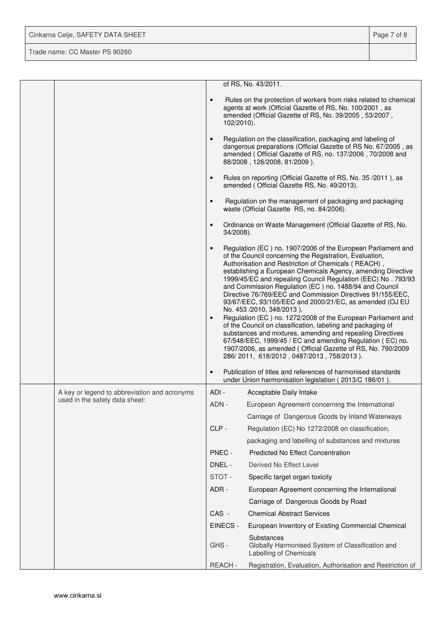| Cinkarna Celje, SAFETY DATA SHEET | Page 7 of 8 |
|-----------------------------------|-------------|
| Trade name: CC Master PS 90260    |             |

|  |                                              |                        |               | of RS, No. 43/2011.                                                                                                                                                                                                                                                                                                                                                                                                                                                                                                                                                                                                                                                                                                                                                                                                                                                                                  |
|--|----------------------------------------------|------------------------|---------------|------------------------------------------------------------------------------------------------------------------------------------------------------------------------------------------------------------------------------------------------------------------------------------------------------------------------------------------------------------------------------------------------------------------------------------------------------------------------------------------------------------------------------------------------------------------------------------------------------------------------------------------------------------------------------------------------------------------------------------------------------------------------------------------------------------------------------------------------------------------------------------------------------|
|  |                                              | $\bullet$              | 102/2010).    | Rules on the protection of workers from risks related to chemical<br>agents at work (Official Gazette of RS, No. 100/2001, as<br>amended (Official Gazette of RS, No. 39/2005, 53/2007,                                                                                                                                                                                                                                                                                                                                                                                                                                                                                                                                                                                                                                                                                                              |
|  |                                              | $\bullet$              |               | Regulation on the classification, packaging and labeling of<br>dangerous preparations (Official Gazette of RS No. 67/2005, as<br>amended (Official Gazette of RS, no. 137/2006, 70/2008 and<br>88/2008, 126/2008, 81/2009).                                                                                                                                                                                                                                                                                                                                                                                                                                                                                                                                                                                                                                                                          |
|  |                                              |                        |               | Rules on reporting (Official Gazette of RS, No. 35/2011), as<br>amended (Official Gazette RS, No. 49/2013).                                                                                                                                                                                                                                                                                                                                                                                                                                                                                                                                                                                                                                                                                                                                                                                          |
|  |                                              | $\bullet$              |               | Regulation on the management of packaging and packaging<br>waste (Official Gazette RS, no. 84/2006).                                                                                                                                                                                                                                                                                                                                                                                                                                                                                                                                                                                                                                                                                                                                                                                                 |
|  |                                              | $\bullet$              | 34/2008).     | Ordinance on Waste Management (Official Gazette of RS, No.                                                                                                                                                                                                                                                                                                                                                                                                                                                                                                                                                                                                                                                                                                                                                                                                                                           |
|  |                                              | $\bullet$<br>$\bullet$ |               | Regulation (EC) no. 1907/2006 of the European Parliament and<br>of the Council concerning the Registration, Evaluation,<br>Authorisation and Restriction of Chemicals (REACH),<br>establishing a European Chemicals Agency, amending Directive<br>1999/45/EC and repealing Council Regulation (EEC) No. 793/93<br>and Commission Regulation (EC) no. 1488/94 and Council<br>Directive 76/769/EEC and Commission Directives 91/155/EEC,<br>93/67/EEC, 93/105/EEC and 2000/21/EC, as amended (OJ EU<br>No. 453 /2010, 348/2013).<br>Regulation (EC) no. 1272/2008 of the European Parliament and<br>of the Council on classification, labeling and packaging of<br>substances and mixtures, amending and repealing Directives<br>67/548/EEC, 1999/45 / EC and amending Regulation (EC) no.<br>1907/2006, as amended (Official Gazette of RS, No. 790/2009<br>286/2011, 618/2012, 0487/2013, 758/2013). |
|  |                                              | $\bullet$              |               | Publication of titles and references of harmonised standards<br>under Union harmonisation legislation (2013/C 186/01).                                                                                                                                                                                                                                                                                                                                                                                                                                                                                                                                                                                                                                                                                                                                                                               |
|  | A key or legend to abbreviation and acronyms | ADI-                   |               | Acceptable Daily Intake                                                                                                                                                                                                                                                                                                                                                                                                                                                                                                                                                                                                                                                                                                                                                                                                                                                                              |
|  | used in the safety data sheet:               | ADN -                  |               | European Agreement concerning the International                                                                                                                                                                                                                                                                                                                                                                                                                                                                                                                                                                                                                                                                                                                                                                                                                                                      |
|  |                                              |                        |               | Carriage of Dangerous Goods by Inland Waterways                                                                                                                                                                                                                                                                                                                                                                                                                                                                                                                                                                                                                                                                                                                                                                                                                                                      |
|  |                                              | CLP-                   |               | Regulation (EC) No 1272/2008 on classification,                                                                                                                                                                                                                                                                                                                                                                                                                                                                                                                                                                                                                                                                                                                                                                                                                                                      |
|  |                                              |                        |               | packaging and labelling of substances and mixtures                                                                                                                                                                                                                                                                                                                                                                                                                                                                                                                                                                                                                                                                                                                                                                                                                                                   |
|  |                                              |                        | PNEC -        | <b>Predicted No Effect Concentration</b>                                                                                                                                                                                                                                                                                                                                                                                                                                                                                                                                                                                                                                                                                                                                                                                                                                                             |
|  |                                              |                        | DNEL -        | Derived No Effect Level                                                                                                                                                                                                                                                                                                                                                                                                                                                                                                                                                                                                                                                                                                                                                                                                                                                                              |
|  |                                              |                        | STOT-         | Specific target organ toxicity                                                                                                                                                                                                                                                                                                                                                                                                                                                                                                                                                                                                                                                                                                                                                                                                                                                                       |
|  |                                              | ADR -                  |               | European Agreement concerning the International                                                                                                                                                                                                                                                                                                                                                                                                                                                                                                                                                                                                                                                                                                                                                                                                                                                      |
|  |                                              |                        |               | Carriage of Dangerous Goods by Road                                                                                                                                                                                                                                                                                                                                                                                                                                                                                                                                                                                                                                                                                                                                                                                                                                                                  |
|  |                                              | CAS -                  |               | <b>Chemical Abstract Services</b>                                                                                                                                                                                                                                                                                                                                                                                                                                                                                                                                                                                                                                                                                                                                                                                                                                                                    |
|  |                                              |                        | EINECS -      | European Inventory of Existing Commercial Chemical                                                                                                                                                                                                                                                                                                                                                                                                                                                                                                                                                                                                                                                                                                                                                                                                                                                   |
|  |                                              | GHS-                   |               | Substances<br>Globally Harmonised System of Classification and<br>Labelling of Chemicals                                                                                                                                                                                                                                                                                                                                                                                                                                                                                                                                                                                                                                                                                                                                                                                                             |
|  |                                              |                        | <b>REACH-</b> | Registration, Evaluation, Authorisation and Restriction of                                                                                                                                                                                                                                                                                                                                                                                                                                                                                                                                                                                                                                                                                                                                                                                                                                           |